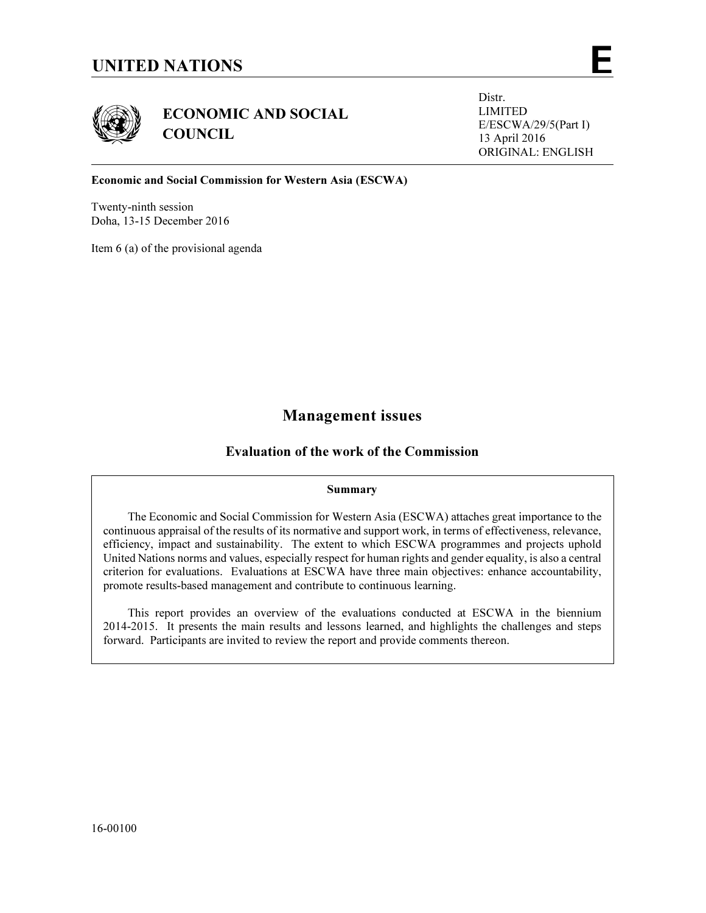



ECONOMIC AND SOCIAL **COUNCIL** 

Distr. LIMITED E/ESCWA/29/5(Part I) 13 April 2016 ORIGINAL: ENGLISH

### Economic and Social Commission for Western Asia (ESCWA)

Twenty-ninth session Doha, 13-15 December 2016

Item 6 (a) of the provisional agenda

# Management issues

# Evaluation of the work of the Commission

#### Summary

 The Economic and Social Commission for Western Asia (ESCWA) attaches great importance to the continuous appraisal of the results of its normative and support work, in terms of effectiveness, relevance, efficiency, impact and sustainability. The extent to which ESCWA programmes and projects uphold United Nations norms and values, especially respect for human rights and gender equality, is also a central criterion for evaluations. Evaluations at ESCWA have three main objectives: enhance accountability, promote results-based management and contribute to continuous learning.

 This report provides an overview of the evaluations conducted at ESCWA in the biennium 2014-2015. It presents the main results and lessons learned, and highlights the challenges and steps forward. Participants are invited to review the report and provide comments thereon.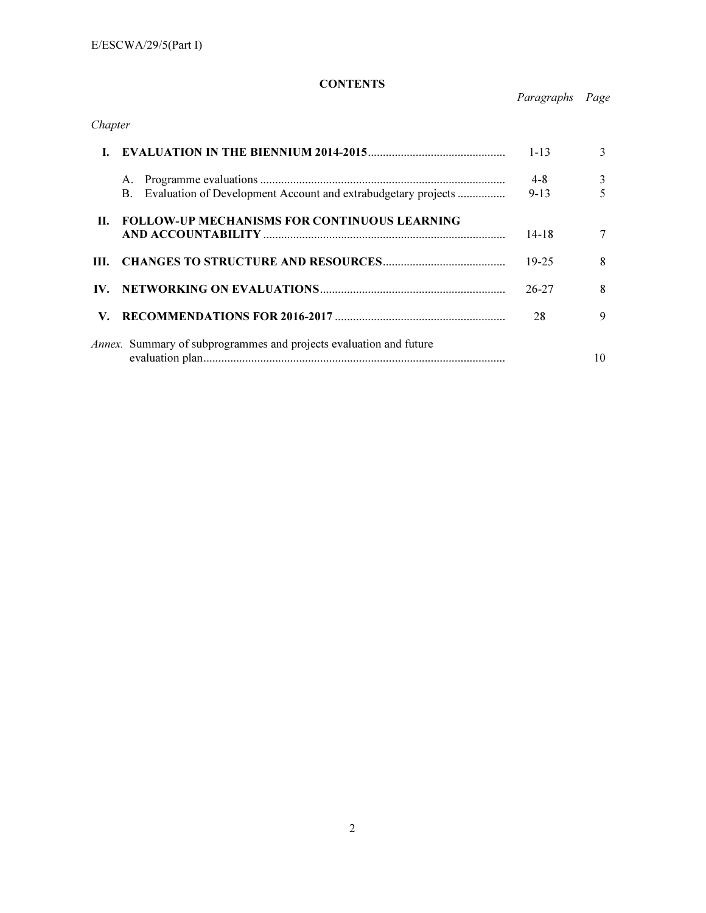# **CONTENTS**

Paragraphs Page

| Chapter |                                                                           |                     |        |
|---------|---------------------------------------------------------------------------|---------------------|--------|
|         |                                                                           | $1 - 13$            | 3      |
|         | А.<br>Evaluation of Development Account and extrabudgetary projects<br>B. | $4 - 8$<br>$9 - 13$ | 3<br>5 |
| П.      | <b>FOLLOW-UP MECHANISMS FOR CONTINUOUS LEARNING</b>                       | 14-18               | 7      |
| III.    |                                                                           | 19-25               | 8      |
| IV.     |                                                                           | $26 - 27$           | 8      |
| V.      |                                                                           | 28                  | 9      |
|         | <i>Annex.</i> Summary of subprogrammes and projects evaluation and future |                     | 10     |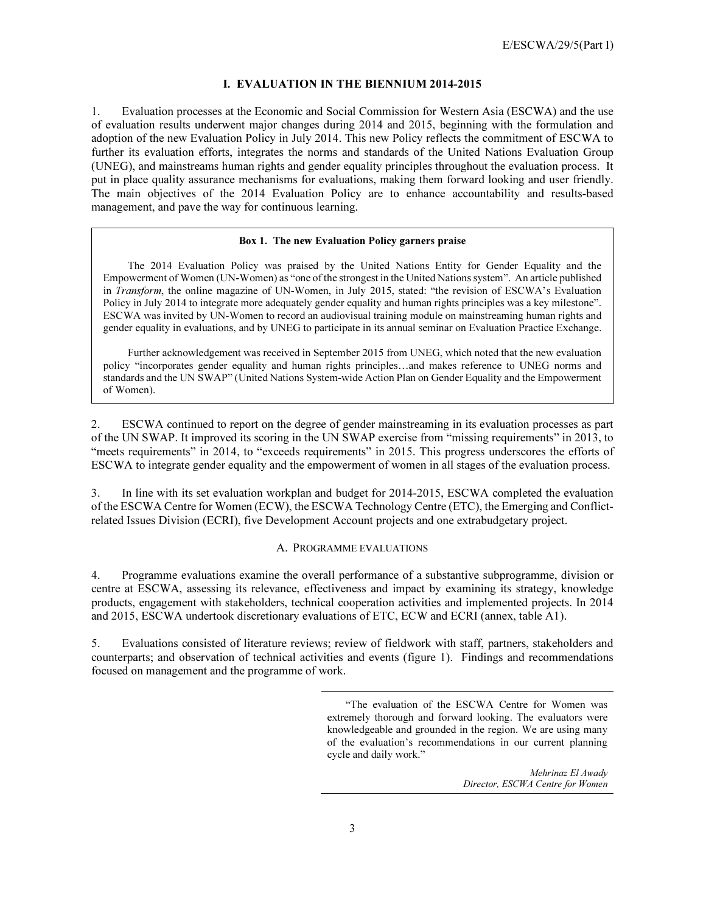#### I. EVALUATION IN THE BIENNIUM 2014-2015

1. Evaluation processes at the Economic and Social Commission for Western Asia (ESCWA) and the use of evaluation results underwent major changes during 2014 and 2015, beginning with the formulation and adoption of the new Evaluation Policy in July 2014. This new Policy reflects the commitment of ESCWA to further its evaluation efforts, integrates the norms and standards of the United Nations Evaluation Group (UNEG), and mainstreams human rights and gender equality principles throughout the evaluation process. It put in place quality assurance mechanisms for evaluations, making them forward looking and user friendly. The main objectives of the 2014 Evaluation Policy are to enhance accountability and results-based management, and pave the way for continuous learning.

#### Box 1. The new Evaluation Policy garners praise

 The 2014 Evaluation Policy was praised by the United Nations Entity for Gender Equality and the Empowerment of Women (UN-Women) as "one of the strongest in the United Nations system". An article published in Transform, the online magazine of UN-Women, in July 2015, stated: "the revision of ESCWA's Evaluation Policy in July 2014 to integrate more adequately gender equality and human rights principles was a key milestone". ESCWA was invited by UN-Women to record an audiovisual training module on mainstreaming human rights and gender equality in evaluations, and by UNEG to participate in its annual seminar on Evaluation Practice Exchange.

 Further acknowledgement was received in September 2015 from UNEG, which noted that the new evaluation policy "incorporates gender equality and human rights principles…and makes reference to UNEG norms and standards and the UN SWAP" (United Nations System-wide Action Plan on Gender Equality and the Empowerment of Women).

2. ESCWA continued to report on the degree of gender mainstreaming in its evaluation processes as part of the UN SWAP. It improved its scoring in the UN SWAP exercise from "missing requirements" in 2013, to "meets requirements" in 2014, to "exceeds requirements" in 2015. This progress underscores the efforts of ESCWA to integrate gender equality and the empowerment of women in all stages of the evaluation process.

3. In line with its set evaluation workplan and budget for 2014-2015, ESCWA completed the evaluation of the ESCWA Centre for Women (ECW), the ESCWA Technology Centre (ETC), the Emerging and Conflictrelated Issues Division (ECRI), five Development Account projects and one extrabudgetary project.

#### A. PROGRAMME EVALUATIONS

4. Programme evaluations examine the overall performance of a substantive subprogramme, division or centre at ESCWA, assessing its relevance, effectiveness and impact by examining its strategy, knowledge products, engagement with stakeholders, technical cooperation activities and implemented projects. In 2014 and 2015, ESCWA undertook discretionary evaluations of ETC, ECW and ECRI (annex, table A1).

5. Evaluations consisted of literature reviews; review of fieldwork with staff, partners, stakeholders and counterparts; and observation of technical activities and events (figure 1). Findings and recommendations focused on management and the programme of work.

> "The evaluation of the ESCWA Centre for Women was extremely thorough and forward looking. The evaluators were knowledgeable and grounded in the region. We are using many of the evaluation's recommendations in our current planning cycle and daily work."

> > Mehrinaz El Awady Director, ESCWA Centre for Women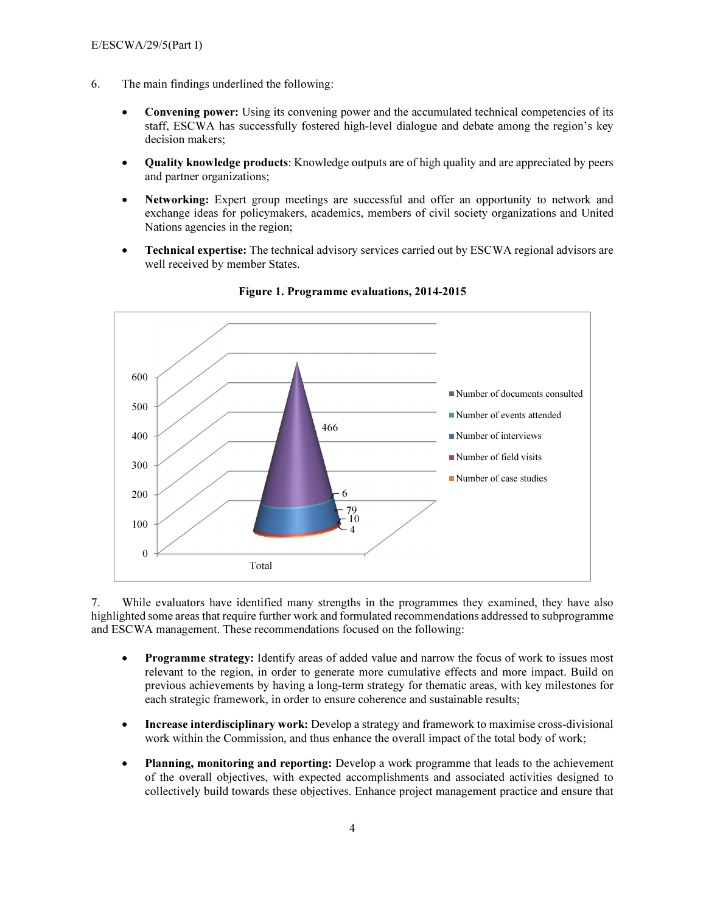- 6. The main findings underlined the following:
	- **Convening power:** Using its convening power and the accumulated technical competencies of its staff, ESCWA has successfully fostered high-level dialogue and debate among the region's key decision makers;
	- Quality knowledge products: Knowledge outputs are of high quality and are appreciated by peers and partner organizations;
	- Networking: Expert group meetings are successful and offer an opportunity to network and exchange ideas for policymakers, academics, members of civil society organizations and United Nations agencies in the region;
	- Technical expertise: The technical advisory services carried out by ESCWA regional advisors are well received by member States.



Figure 1. Programme evaluations, 2014-2015

7. While evaluators have identified many strengths in the programmes they examined, they have also highlighted some areas that require further work and formulated recommendations addressed to subprogramme and ESCWA management. These recommendations focused on the following:

- **Programme strategy:** Identify areas of added value and narrow the focus of work to issues most relevant to the region, in order to generate more cumulative effects and more impact. Build on previous achievements by having a long-term strategy for thematic areas, with key milestones for each strategic framework, in order to ensure coherence and sustainable results;
- Increase interdisciplinary work: Develop a strategy and framework to maximise cross-divisional work within the Commission, and thus enhance the overall impact of the total body of work;
- Planning, monitoring and reporting: Develop a work programme that leads to the achievement of the overall objectives, with expected accomplishments and associated activities designed to collectively build towards these objectives. Enhance project management practice and ensure that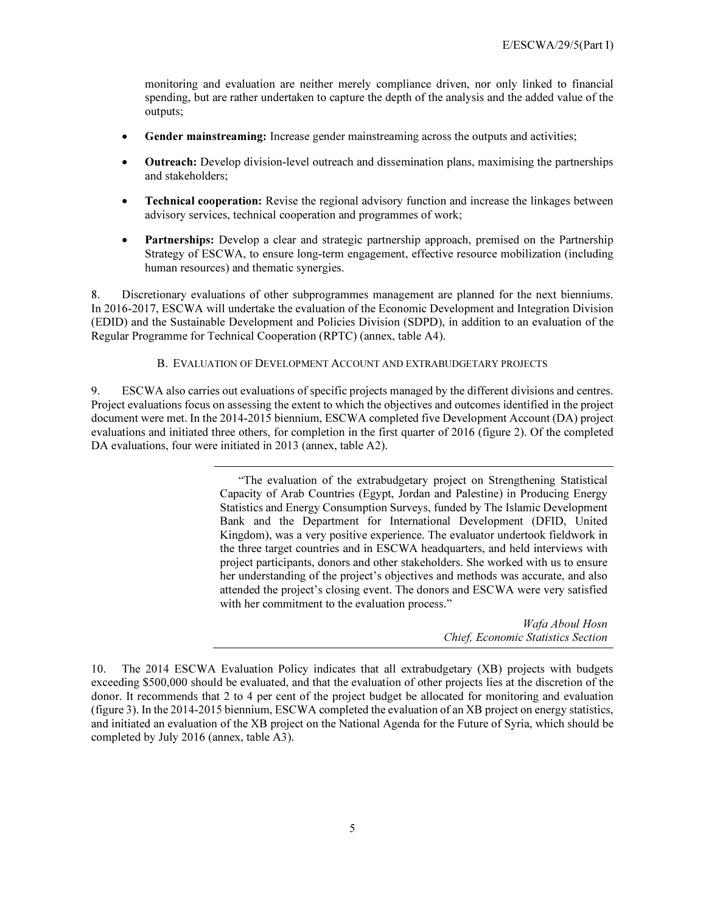monitoring and evaluation are neither merely compliance driven, nor only linked to financial spending, but are rather undertaken to capture the depth of the analysis and the added value of the outputs;

- Gender mainstreaming: Increase gender mainstreaming across the outputs and activities;
- Outreach: Develop division-level outreach and dissemination plans, maximising the partnerships and stakeholders;
- **Technical cooperation:** Revise the regional advisory function and increase the linkages between advisory services, technical cooperation and programmes of work;
- Partnerships: Develop a clear and strategic partnership approach, premised on the Partnership Strategy of ESCWA, to ensure long-term engagement, effective resource mobilization (including human resources) and thematic synergies.

8. Discretionary evaluations of other subprogrammes management are planned for the next bienniums. In 2016-2017, ESCWA will undertake the evaluation of the Economic Development and Integration Division (EDID) and the Sustainable Development and Policies Division (SDPD), in addition to an evaluation of the Regular Programme for Technical Cooperation (RPTC) (annex, table A4).

#### B. EVALUATION OF DEVELOPMENT ACCOUNT AND EXTRABUDGETARY PROJECTS

9. ESCWA also carries out evaluations of specific projects managed by the different divisions and centres. Project evaluations focus on assessing the extent to which the objectives and outcomes identified in the project document were met. In the 2014-2015 biennium, ESCWA completed five Development Account (DA) project evaluations and initiated three others, for completion in the first quarter of 2016 (figure 2). Of the completed DA evaluations, four were initiated in 2013 (annex, table A2).

> "The evaluation of the extrabudgetary project on Strengthening Statistical Capacity of Arab Countries (Egypt, Jordan and Palestine) in Producing Energy Statistics and Energy Consumption Surveys, funded by The Islamic Development Bank and the Department for International Development (DFID, United Kingdom), was a very positive experience. The evaluator undertook fieldwork in the three target countries and in ESCWA headquarters, and held interviews with project participants, donors and other stakeholders. She worked with us to ensure her understanding of the project's objectives and methods was accurate, and also attended the project's closing event. The donors and ESCWA were very satisfied with her commitment to the evaluation process."

> > Wafa Aboul Hosn Chief, Economic Statistics Section

<sup>10.</sup> The 2014 ESCWA Evaluation Policy indicates that all extrabudgetary (XB) projects with budgets exceeding \$500,000 should be evaluated, and that the evaluation of other projects lies at the discretion of the donor. It recommends that 2 to 4 per cent of the project budget be allocated for monitoring and evaluation (figure 3). In the 2014-2015 biennium, ESCWA completed the evaluation of an XB project on energy statistics, and initiated an evaluation of the XB project on the National Agenda for the Future of Syria, which should be completed by July 2016 (annex, table A3).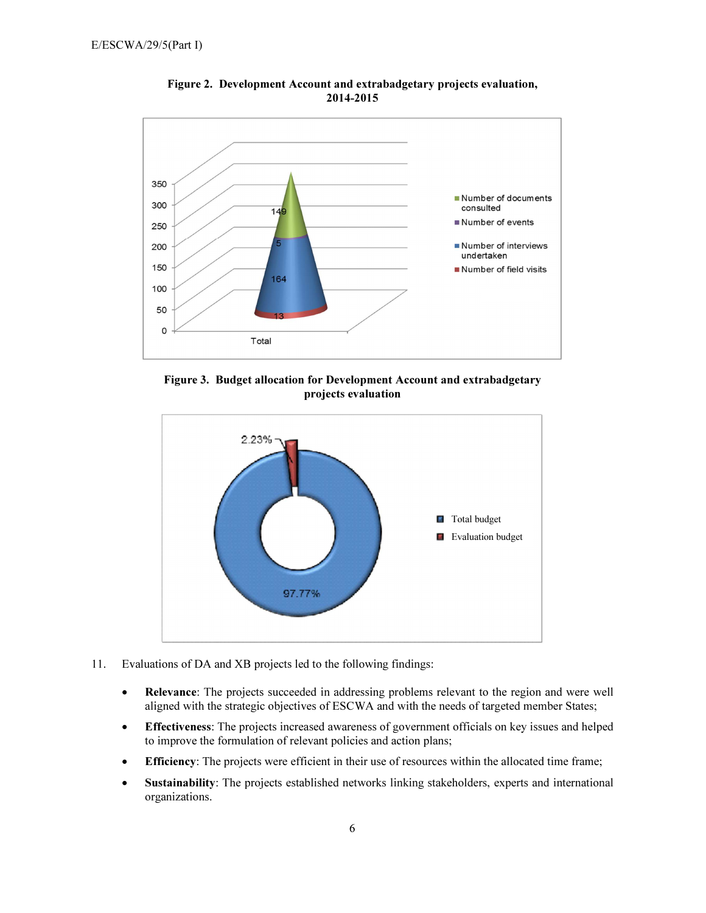

Figure 2. Development Account and extrabadgetary projects evaluation, 2014-2015

Figure 3. Budget allocation for Development Account and extrabadgetary projects evaluation



- 11. Evaluations of DA and XB projects led to the following findings:
	- Relevance: The projects succeeded in addressing problems relevant to the region and were well aligned with the strategic objectives of ESCWA and with the needs of targeted member States;
	- Effectiveness: The projects increased awareness of government officials on key issues and helped to improve the formulation of relevant policies and action plans;
	- Efficiency: The projects were efficient in their use of resources within the allocated time frame;
	- Sustainability: The projects established networks linking stakeholders, experts and international organizations.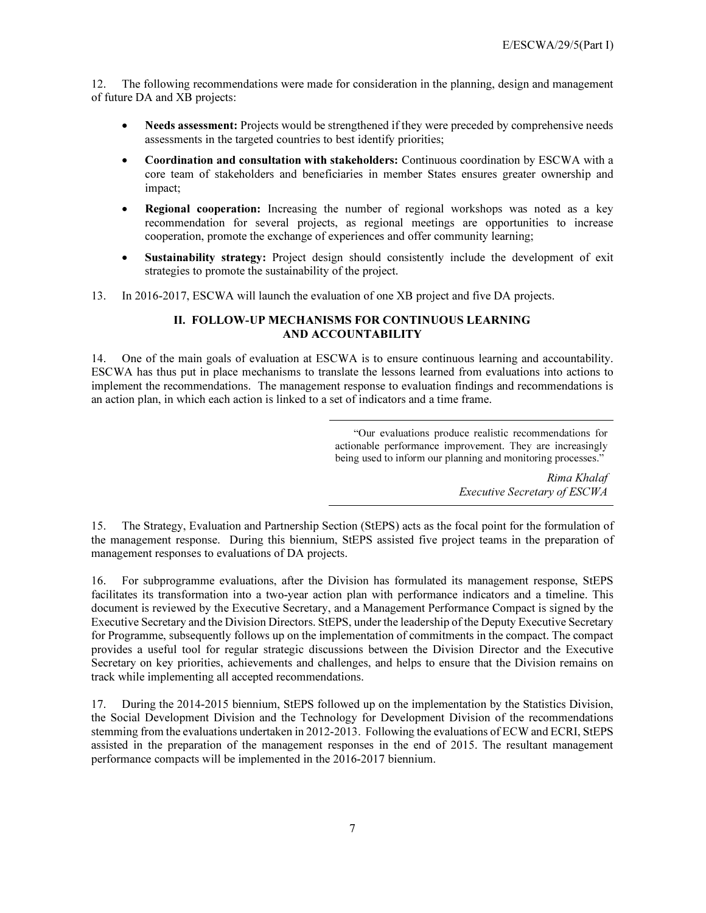12. The following recommendations were made for consideration in the planning, design and management of future DA and XB projects:

- Needs assessment: Projects would be strengthened if they were preceded by comprehensive needs assessments in the targeted countries to best identify priorities;
- Coordination and consultation with stakeholders: Continuous coordination by ESCWA with a core team of stakeholders and beneficiaries in member States ensures greater ownership and impact;
- Regional cooperation: Increasing the number of regional workshops was noted as a key recommendation for several projects, as regional meetings are opportunities to increase cooperation, promote the exchange of experiences and offer community learning;
- **Sustainability strategy:** Project design should consistently include the development of exit strategies to promote the sustainability of the project.
- 13. In 2016-2017, ESCWA will launch the evaluation of one XB project and five DA projects.

### II. FOLLOW-UP MECHANISMS FOR CONTINUOUS LEARNING AND ACCOUNTABILITY

14. One of the main goals of evaluation at ESCWA is to ensure continuous learning and accountability. ESCWA has thus put in place mechanisms to translate the lessons learned from evaluations into actions to implement the recommendations. The management response to evaluation findings and recommendations is an action plan, in which each action is linked to a set of indicators and a time frame.

> "Our evaluations produce realistic recommendations for actionable performance improvement. They are increasingly being used to inform our planning and monitoring processes."

> > Rima Khalaf Executive Secretary of ESCWA

15. The Strategy, Evaluation and Partnership Section (StEPS) acts as the focal point for the formulation of the management response. During this biennium, StEPS assisted five project teams in the preparation of management responses to evaluations of DA projects.

16. For subprogramme evaluations, after the Division has formulated its management response, StEPS facilitates its transformation into a two-year action plan with performance indicators and a timeline. This document is reviewed by the Executive Secretary, and a Management Performance Compact is signed by the Executive Secretary and the Division Directors. StEPS, under the leadership of the Deputy Executive Secretary for Programme, subsequently follows up on the implementation of commitments in the compact. The compact provides a useful tool for regular strategic discussions between the Division Director and the Executive Secretary on key priorities, achievements and challenges, and helps to ensure that the Division remains on track while implementing all accepted recommendations.

17. During the 2014-2015 biennium, StEPS followed up on the implementation by the Statistics Division, the Social Development Division and the Technology for Development Division of the recommendations stemming from the evaluations undertaken in 2012-2013. Following the evaluations of ECW and ECRI, StEPS assisted in the preparation of the management responses in the end of 2015. The resultant management performance compacts will be implemented in the 2016-2017 biennium.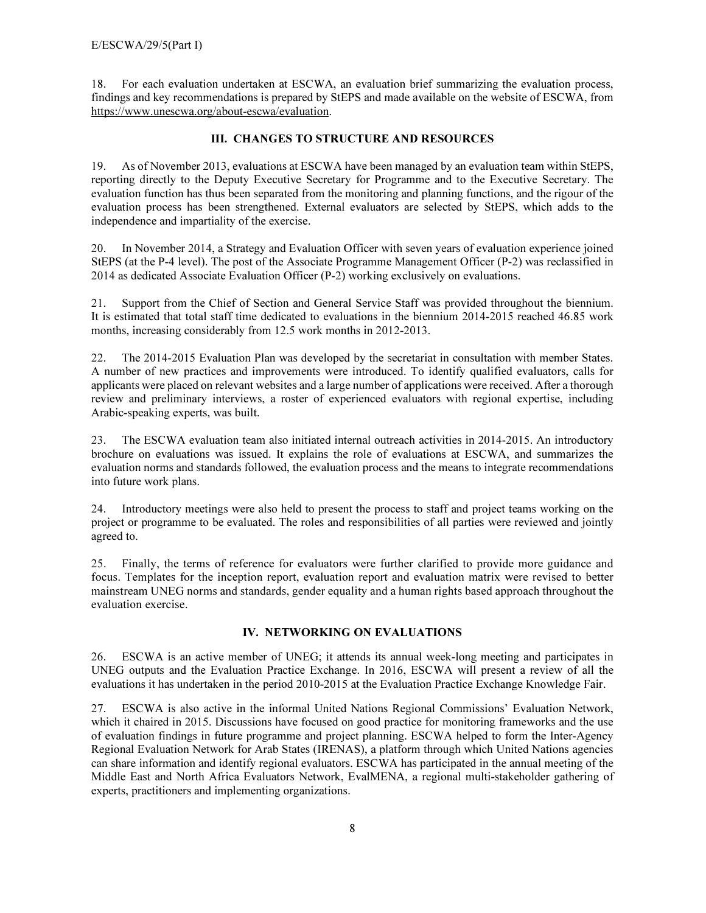18. For each evaluation undertaken at ESCWA, an evaluation brief summarizing the evaluation process, findings and key recommendations is prepared by StEPS and made available on the website of ESCWA, from https://www.unescwa.org/about-escwa/evaluation.

## III. CHANGES TO STRUCTURE AND RESOURCES

19. As of November 2013, evaluations at ESCWA have been managed by an evaluation team within StEPS, reporting directly to the Deputy Executive Secretary for Programme and to the Executive Secretary. The evaluation function has thus been separated from the monitoring and planning functions, and the rigour of the evaluation process has been strengthened. External evaluators are selected by StEPS, which adds to the independence and impartiality of the exercise.

20. In November 2014, a Strategy and Evaluation Officer with seven years of evaluation experience joined StEPS (at the P-4 level). The post of the Associate Programme Management Officer (P-2) was reclassified in 2014 as dedicated Associate Evaluation Officer (P-2) working exclusively on evaluations.

21. Support from the Chief of Section and General Service Staff was provided throughout the biennium. It is estimated that total staff time dedicated to evaluations in the biennium 2014-2015 reached 46.85 work months, increasing considerably from 12.5 work months in 2012-2013.

22. The 2014-2015 Evaluation Plan was developed by the secretariat in consultation with member States. A number of new practices and improvements were introduced. To identify qualified evaluators, calls for applicants were placed on relevant websites and a large number of applications were received. After a thorough review and preliminary interviews, a roster of experienced evaluators with regional expertise, including Arabic-speaking experts, was built.

23. The ESCWA evaluation team also initiated internal outreach activities in 2014-2015. An introductory brochure on evaluations was issued. It explains the role of evaluations at ESCWA, and summarizes the evaluation norms and standards followed, the evaluation process and the means to integrate recommendations into future work plans.

24. Introductory meetings were also held to present the process to staff and project teams working on the project or programme to be evaluated. The roles and responsibilities of all parties were reviewed and jointly agreed to.

25. Finally, the terms of reference for evaluators were further clarified to provide more guidance and focus. Templates for the inception report, evaluation report and evaluation matrix were revised to better mainstream UNEG norms and standards, gender equality and a human rights based approach throughout the evaluation exercise.

#### IV. NETWORKING ON EVALUATIONS

26. ESCWA is an active member of UNEG; it attends its annual week-long meeting and participates in UNEG outputs and the Evaluation Practice Exchange. In 2016, ESCWA will present a review of all the evaluations it has undertaken in the period 2010-2015 at the Evaluation Practice Exchange Knowledge Fair.

27. ESCWA is also active in the informal United Nations Regional Commissions' Evaluation Network, which it chaired in 2015. Discussions have focused on good practice for monitoring frameworks and the use of evaluation findings in future programme and project planning. ESCWA helped to form the Inter-Agency Regional Evaluation Network for Arab States (IRENAS), a platform through which United Nations agencies can share information and identify regional evaluators. ESCWA has participated in the annual meeting of the Middle East and North Africa Evaluators Network, EvalMENA, a regional multi-stakeholder gathering of experts, practitioners and implementing organizations.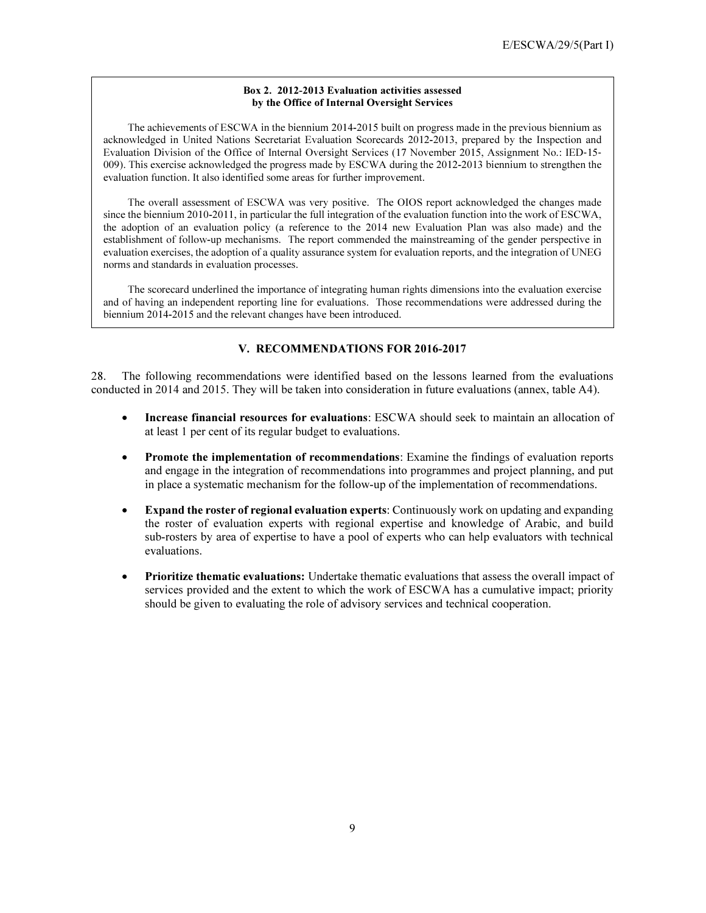#### Box 2. 2012-2013 Evaluation activities assessed by the Office of Internal Oversight Services

 The achievements of ESCWA in the biennium 2014-2015 built on progress made in the previous biennium as acknowledged in United Nations Secretariat Evaluation Scorecards 2012-2013, prepared by the Inspection and Evaluation Division of the Office of Internal Oversight Services (17 November 2015, Assignment No.: IED‐15‐ 009). This exercise acknowledged the progress made by ESCWA during the 2012-2013 biennium to strengthen the evaluation function. It also identified some areas for further improvement.

 The overall assessment of ESCWA was very positive. The OIOS report acknowledged the changes made since the biennium 2010-2011, in particular the full integration of the evaluation function into the work of ESCWA, the adoption of an evaluation policy (a reference to the 2014 new Evaluation Plan was also made) and the establishment of follow-up mechanisms. The report commended the mainstreaming of the gender perspective in evaluation exercises, the adoption of a quality assurance system for evaluation reports, and the integration of UNEG norms and standards in evaluation processes.

 The scorecard underlined the importance of integrating human rights dimensions into the evaluation exercise and of having an independent reporting line for evaluations. Those recommendations were addressed during the biennium 2014-2015 and the relevant changes have been introduced.

### V. RECOMMENDATIONS FOR 2016-2017

28. The following recommendations were identified based on the lessons learned from the evaluations conducted in 2014 and 2015. They will be taken into consideration in future evaluations (annex, table A4).

- Increase financial resources for evaluations: ESCWA should seek to maintain an allocation of at least 1 per cent of its regular budget to evaluations.
- Promote the implementation of recommendations: Examine the findings of evaluation reports and engage in the integration of recommendations into programmes and project planning, and put in place a systematic mechanism for the follow-up of the implementation of recommendations.
- **Expand the roster of regional evaluation experts:** Continuously work on updating and expanding the roster of evaluation experts with regional expertise and knowledge of Arabic, and build sub-rosters by area of expertise to have a pool of experts who can help evaluators with technical evaluations.
- Prioritize thematic evaluations: Undertake thematic evaluations that assess the overall impact of services provided and the extent to which the work of ESCWA has a cumulative impact; priority should be given to evaluating the role of advisory services and technical cooperation.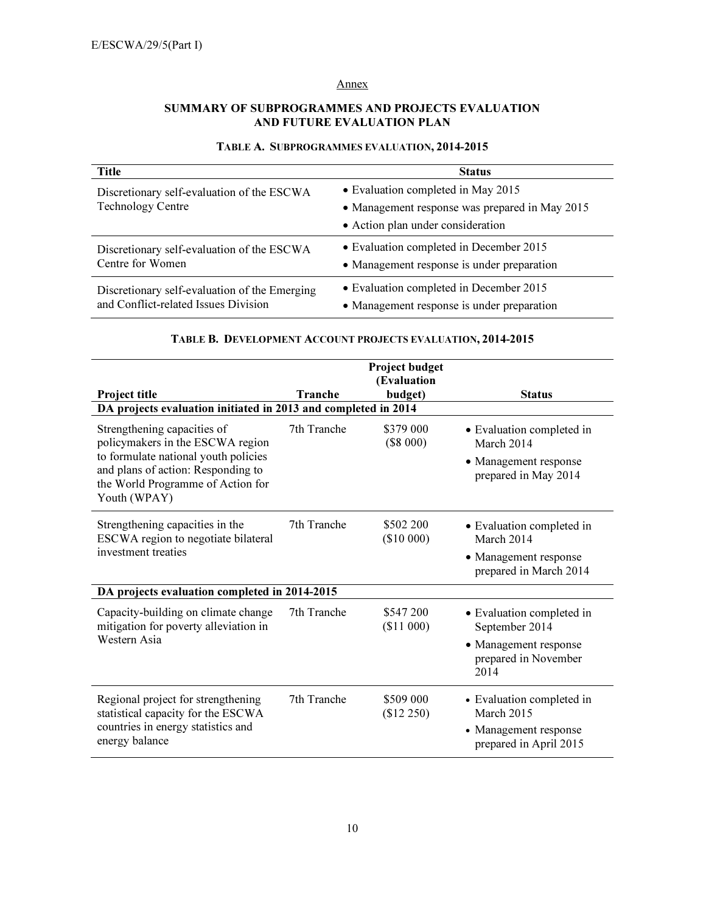# Annex

# SUMMARY OF SUBPROGRAMMES AND PROJECTS EVALUATION AND FUTURE EVALUATION PLAN

# TABLE A. SUBPROGRAMMES EVALUATION, 2014-2015

| Title                                         | <b>Status</b>                                  |
|-----------------------------------------------|------------------------------------------------|
| Discretionary self-evaluation of the ESCWA    | • Evaluation completed in May 2015             |
| <b>Technology Centre</b>                      | • Management response was prepared in May 2015 |
|                                               | • Action plan under consideration              |
| Discretionary self-evaluation of the ESCWA    | • Evaluation completed in December 2015        |
| Centre for Women                              | • Management response is under preparation     |
| Discretionary self-evaluation of the Emerging | • Evaluation completed in December 2015        |
| and Conflict-related Issues Division          | • Management response is under preparation     |

### TABLE B. DEVELOPMENT ACCOUNT PROJECTS EVALUATION, 2014-2015

|                                                                                                                                                                                                    |                | Project budget          |                                                                                                      |
|----------------------------------------------------------------------------------------------------------------------------------------------------------------------------------------------------|----------------|-------------------------|------------------------------------------------------------------------------------------------------|
|                                                                                                                                                                                                    |                | (Evaluation             |                                                                                                      |
| Project title                                                                                                                                                                                      | <b>Tranche</b> | budget)                 | <b>Status</b>                                                                                        |
| DA projects evaluation initiated in 2013 and completed in 2014                                                                                                                                     |                |                         |                                                                                                      |
| Strengthening capacities of<br>policymakers in the ESCWA region<br>to formulate national youth policies<br>and plans of action: Responding to<br>the World Programme of Action for<br>Youth (WPAY) | 7th Tranche    | \$379 000<br>$(\$8000)$ | • Evaluation completed in<br>March 2014<br>• Management response<br>prepared in May 2014             |
| Strengthening capacities in the<br>ESCWA region to negotiate bilateral<br>investment treaties                                                                                                      | 7th Tranche    | \$502 200<br>(\$10000)  | • Evaluation completed in<br>March 2014<br>• Management response<br>prepared in March 2014           |
| DA projects evaluation completed in 2014-2015                                                                                                                                                      |                |                         |                                                                                                      |
| Capacity-building on climate change<br>mitigation for poverty alleviation in<br>Western Asia                                                                                                       | 7th Tranche    | \$547 200<br>(\$11 000) | • Evaluation completed in<br>September 2014<br>• Management response<br>prepared in November<br>2014 |
| Regional project for strengthening<br>statistical capacity for the ESCWA<br>countries in energy statistics and<br>energy balance                                                                   | 7th Tranche    | \$509 000<br>(\$12 250) | • Evaluation completed in<br>March 2015<br>• Management response<br>prepared in April 2015           |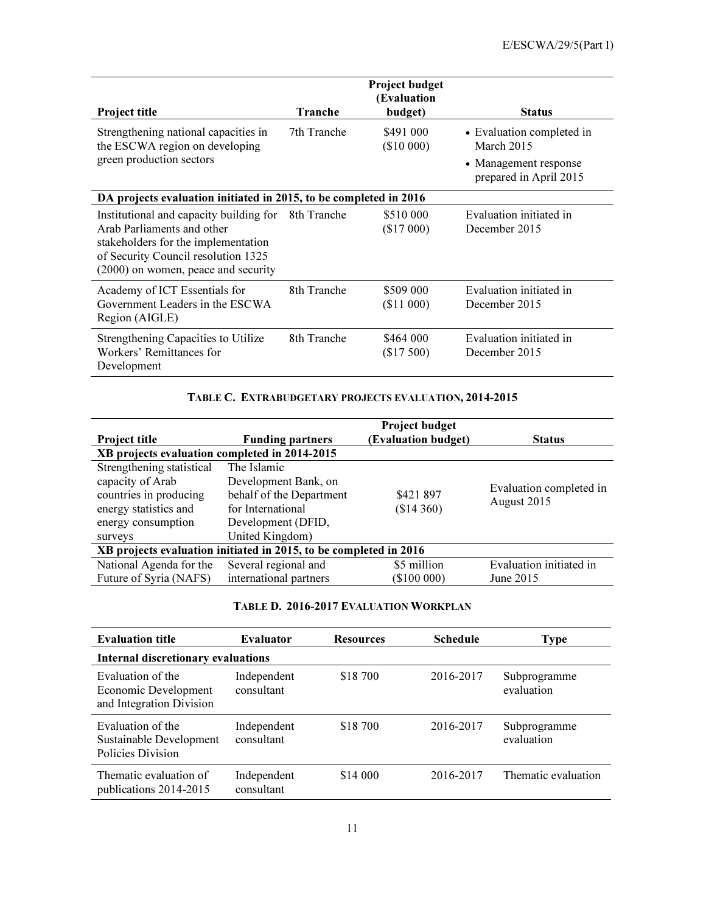|                                                                                                                                                                                            |             | <b>Project budget</b><br>(Evaluation |                                                 |
|--------------------------------------------------------------------------------------------------------------------------------------------------------------------------------------------|-------------|--------------------------------------|-------------------------------------------------|
| Project title                                                                                                                                                                              | Tranche     | budget)                              | <b>Status</b>                                   |
| Strengthening national capacities in<br>the ESCWA region on developing                                                                                                                     | 7th Tranche | \$491 000<br>(\$10000)               | • Evaluation completed in<br>March 2015         |
| green production sectors                                                                                                                                                                   |             |                                      | • Management response<br>prepared in April 2015 |
| DA projects evaluation initiated in 2015, to be completed in 2016                                                                                                                          |             |                                      |                                                 |
| Institutional and capacity building for<br>Arab Parliaments and other<br>stakeholders for the implementation<br>of Security Council resolution 1325<br>(2000) on women, peace and security | 8th Tranche | \$510 000<br>(\$17000)               | Evaluation initiated in<br>December 2015        |
| Academy of ICT Essentials for<br>Government Leaders in the ESCWA<br>Region (AIGLE)                                                                                                         | 8th Tranche | \$509 000<br>(\$11 000)              | Evaluation initiated in<br>December 2015        |
| Strengthening Capacities to Utilize<br>Workers' Remittances for<br>Development                                                                                                             | 8th Tranche | \$464 000<br>(\$17500)               | Evaluation initiated in<br>December 2015        |

## TABLE C. EXTRABUDGETARY PROJECTS EVALUATION, 2014-2015

|                                                                   |                          | Project budget             |                         |  |  |  |
|-------------------------------------------------------------------|--------------------------|----------------------------|-------------------------|--|--|--|
| <b>Project title</b>                                              | <b>Funding partners</b>  | <b>(Evaluation budget)</b> | <b>Status</b>           |  |  |  |
| XB projects evaluation completed in 2014-2015                     |                          |                            |                         |  |  |  |
| Strengthening statistical                                         | The Islamic              |                            |                         |  |  |  |
| capacity of Arab                                                  | Development Bank, on     |                            |                         |  |  |  |
| countries in producing                                            | behalf of the Department | \$421 897                  | Evaluation completed in |  |  |  |
| energy statistics and                                             | for International        | $($14\;360)$               | August 2015             |  |  |  |
| energy consumption                                                | Development (DFID,       |                            |                         |  |  |  |
| surveys                                                           | United Kingdom)          |                            |                         |  |  |  |
| XB projects evaluation initiated in 2015, to be completed in 2016 |                          |                            |                         |  |  |  |
| National Agenda for the                                           | Several regional and     | \$5 million                | Evaluation initiated in |  |  |  |
| Future of Syria (NAFS)                                            | international partners   | (\$100000)                 | June 2015               |  |  |  |

#### TABLE D. 2016-2017 EVALUATION WORKPLAN

| <b>Evaluation title</b>                                               | <b>Evaluator</b>          | <b>Resources</b> | <b>Schedule</b> | <b>Type</b>                |  |  |
|-----------------------------------------------------------------------|---------------------------|------------------|-----------------|----------------------------|--|--|
| <b>Internal discretionary evaluations</b>                             |                           |                  |                 |                            |  |  |
| Evaluation of the<br>Economic Development<br>and Integration Division | Independent<br>consultant | \$18 700         | 2016-2017       | Subprogramme<br>evaluation |  |  |
| Evaluation of the<br>Sustainable Development<br>Policies Division     | Independent<br>consultant | \$18 700         | 2016-2017       | Subprogramme<br>evaluation |  |  |
| Thematic evaluation of<br>publications 2014-2015                      | Independent<br>consultant | \$14,000         | 2016-2017       | Thematic evaluation        |  |  |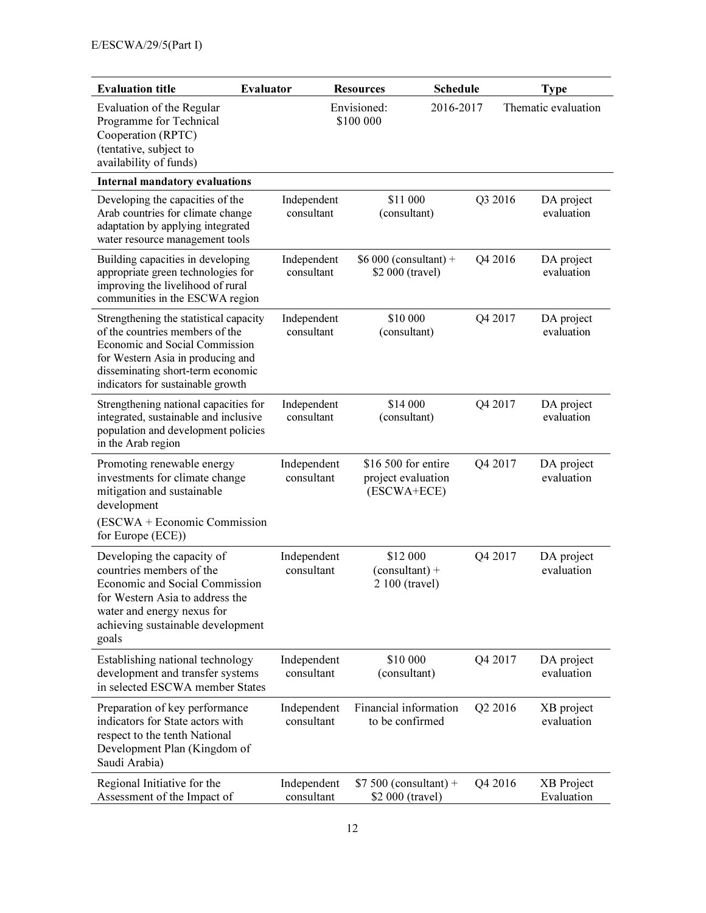| <b>Evaluation title</b>                                                                                                                                                                                                    | <b>Evaluator</b>          | <b>Resources</b>                                         | <b>Schedule</b> | <b>Type</b>                         |
|----------------------------------------------------------------------------------------------------------------------------------------------------------------------------------------------------------------------------|---------------------------|----------------------------------------------------------|-----------------|-------------------------------------|
| Evaluation of the Regular<br>Programme for Technical<br>Cooperation (RPTC)<br>(tentative, subject to<br>availability of funds)                                                                                             |                           | Envisioned:<br>\$100 000                                 | 2016-2017       | Thematic evaluation                 |
| <b>Internal mandatory evaluations</b>                                                                                                                                                                                      |                           |                                                          |                 |                                     |
| Developing the capacities of the<br>Arab countries for climate change<br>adaptation by applying integrated<br>water resource management tools                                                                              | Independent<br>consultant | \$11 000<br>(consultant)                                 |                 | Q3 2016<br>DA project<br>evaluation |
| Building capacities in developing<br>appropriate green technologies for<br>improving the livelihood of rural<br>communities in the ESCWA region                                                                            | Independent<br>consultant | $$6000$ (consultant) +<br>\$2 000 (travel)               |                 | Q4 2016<br>DA project<br>evaluation |
| Strengthening the statistical capacity<br>of the countries members of the<br>Economic and Social Commission<br>for Western Asia in producing and<br>disseminating short-term economic<br>indicators for sustainable growth | Independent<br>consultant | \$10 000<br>(consultant)                                 |                 | Q4 2017<br>DA project<br>evaluation |
| Strengthening national capacities for<br>integrated, sustainable and inclusive<br>population and development policies<br>in the Arab region                                                                                | Independent<br>consultant | \$14 000<br>(consultant)                                 |                 | Q4 2017<br>DA project<br>evaluation |
| Promoting renewable energy<br>investments for climate change<br>mitigation and sustainable<br>development<br>(ESCWA + Economic Commission<br>for Europe (ECE))                                                             | Independent<br>consultant | \$16 500 for entire<br>project evaluation<br>(ESCWA+ECE) |                 | Q4 2017<br>DA project<br>evaluation |
| Developing the capacity of<br>countries members of the<br>Economic and Social Commission<br>for Western Asia to address the<br>water and energy nexus for<br>achieving sustainable development<br>goals                    | Independent<br>consultant | \$12 000<br>$(constant) +$<br>2 100 (travel)             |                 | Q4 2017<br>DA project<br>evaluation |
| Establishing national technology<br>development and transfer systems<br>in selected ESCWA member States                                                                                                                    | Independent<br>consultant | \$10 000<br>(consultant)                                 |                 | Q4 2017<br>DA project<br>evaluation |
| Preparation of key performance<br>indicators for State actors with<br>respect to the tenth National<br>Development Plan (Kingdom of<br>Saudi Arabia)                                                                       | Independent<br>consultant | Financial information<br>to be confirmed                 |                 | Q2 2016<br>XB project<br>evaluation |
| Regional Initiative for the<br>Assessment of the Impact of                                                                                                                                                                 | Independent<br>consultant | $$7500$ (consultant) +<br>\$2 000 (travel)               |                 | Q4 2016<br>XB Project<br>Evaluation |